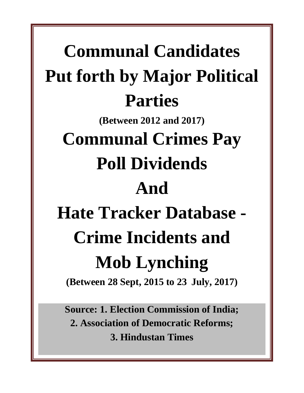**Communal Candidates Put forth by Major Political Parties (Between 2012 and 2017) Communal Crimes Pay Poll Dividends And Hate Tracker Database - Crime Incidents and Mob Lynching (Between 28 Sept, 2015 to 23 July, 2017)**

> **Source: 1. Election Commission of India; 2. Association of Democratic Reforms; 3. Hindustan Times**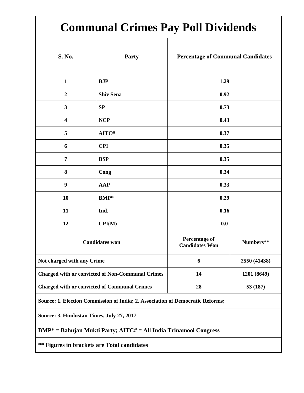# **Communal Crimes Pay Poll Dividends**

| S. No.                                                                         | Party            | <b>Percentage of Communal Candidates</b> |              |  |
|--------------------------------------------------------------------------------|------------------|------------------------------------------|--------------|--|
| $\mathbf{1}$                                                                   | <b>BJP</b>       | 1.29                                     |              |  |
| $\overline{2}$                                                                 | <b>Shiv Sena</b> | 0.92                                     |              |  |
| $\mathbf{3}$                                                                   | SP               | 0.73                                     |              |  |
| 4                                                                              | <b>NCP</b>       | 0.43                                     |              |  |
| 5                                                                              | AITC#            | 0.37                                     |              |  |
| 6                                                                              | <b>CPI</b>       | 0.35                                     |              |  |
| $\overline{7}$                                                                 | <b>BSP</b>       | 0.35                                     |              |  |
| 8                                                                              | Cong             | 0.34                                     |              |  |
| $\boldsymbol{9}$                                                               | <b>AAP</b>       | 0.33                                     |              |  |
| 10                                                                             | <b>BMP</b> *     | 0.29                                     |              |  |
| 11                                                                             | Ind.             | 0.16                                     |              |  |
| 12                                                                             | CPI(M)           | 0.0                                      |              |  |
| <b>Candidates won</b>                                                          |                  | Percentage of<br><b>Candidates Won</b>   | Numbers**    |  |
| Not charged with any Crime                                                     |                  | 6                                        | 2550 (41438) |  |
| <b>Charged with or convicted of Non-Communal Crimes</b>                        |                  | 14                                       | 1201 (8649)  |  |
| <b>Charged with or convicted of Communal Crimes</b>                            |                  | 28                                       | 53 (187)     |  |
| Source: 1. Election Commission of India; 2. Association of Democratic Reforms; |                  |                                          |              |  |

**Source: 3. Hindustan Times, July 27, 2017**

**BMP\* = Bahujan Mukti Party; AITC# = All India Trinamool Congress**

**\*\* Figures in brackets are Total candidates**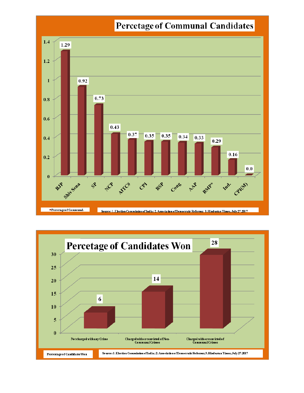

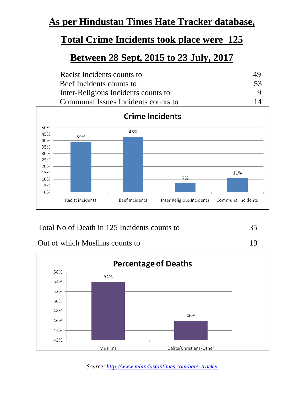#### **As per Hindustan Times Hate Tracker database,**

#### **Total Crime Incidents took place were 125**

#### **Between 28 Sept, 2015 to 23 July, 2017**

| Racist Incidents counts to          | 45        |
|-------------------------------------|-----------|
| Beef Incidents counts to            | 53        |
| Inter-Religious Incidents counts to |           |
| Communal Issues Incidents counts to | $1\Delta$ |



#### Total No of Death in 125 Incidents counts to 35

Out of which Muslims counts to 19